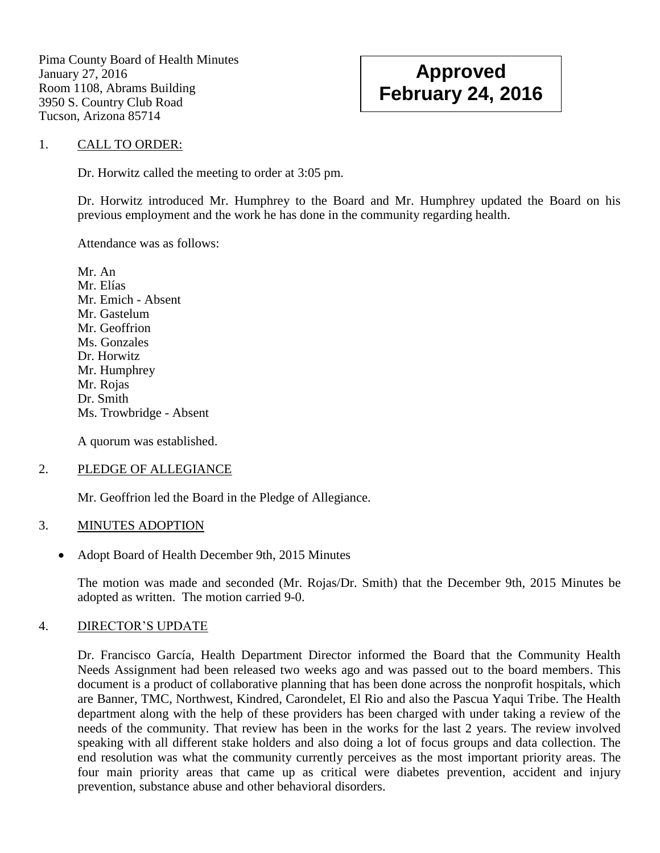Pima County Board of Health Minutes January 27, 2016 Room 1108, Abrams Building 3950 S. Country Club Road Tucson, Arizona 85714

# **Approved February 24, 2016**

#### 1. CALL TO ORDER:

Dr. Horwitz called the meeting to order at 3:05 pm.

Dr. Horwitz introduced Mr. Humphrey to the Board and Mr. Humphrey updated the Board on his previous employment and the work he has done in the community regarding health.

Attendance was as follows:

Mr. An Mr. Elías Mr. Emich - Absent Mr. Gastelum Mr. Geoffrion Ms. Gonzales Dr. Horwitz Mr. Humphrey Mr. Rojas Dr. Smith Ms. Trowbridge - Absent

A quorum was established.

### 2. PLEDGE OF ALLEGIANCE

Mr. Geoffrion led the Board in the Pledge of Allegiance.

### 3. MINUTES ADOPTION

• Adopt Board of Health December 9th, 2015 Minutes

The motion was made and seconded (Mr. Rojas/Dr. Smith) that the December 9th, 2015 Minutes be adopted as written. The motion carried 9-0.

### 4. DIRECTOR'S UPDATE

Dr. Francisco García, Health Department Director informed the Board that the Community Health Needs Assignment had been released two weeks ago and was passed out to the board members. This document is a product of collaborative planning that has been done across the nonprofit hospitals, which are Banner, TMC, Northwest, Kindred, Carondelet, El Rio and also the Pascua Yaqui Tribe. The Health department along with the help of these providers has been charged with under taking a review of the needs of the community. That review has been in the works for the last 2 years. The review involved speaking with all different stake holders and also doing a lot of focus groups and data collection. The end resolution was what the community currently perceives as the most important priority areas. The four main priority areas that came up as critical were diabetes prevention, accident and injury prevention, substance abuse and other behavioral disorders.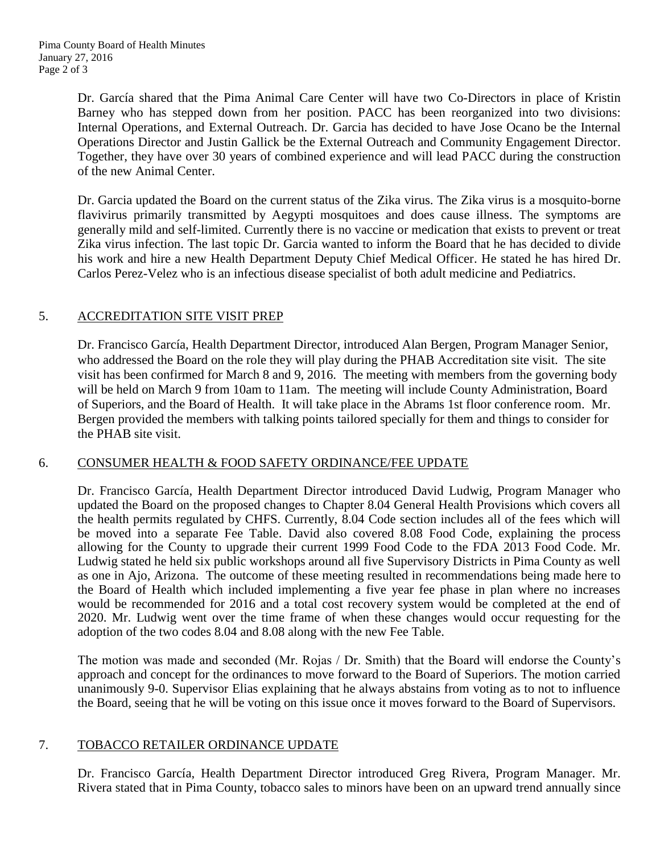Dr. García shared that the Pima Animal Care Center will have two Co-Directors in place of Kristin Barney who has stepped down from her position. PACC has been reorganized into two divisions: Internal Operations, and External Outreach. Dr. Garcia has decided to have Jose Ocano be the Internal Operations Director and Justin Gallick be the External Outreach and Community Engagement Director. Together, they have over 30 years of combined experience and will lead PACC during the construction of the new Animal Center.

Dr. Garcia updated the Board on the current status of the Zika virus. The Zika virus is a mosquito-borne flavivirus primarily transmitted by Aegypti mosquitoes and does cause illness. The symptoms are generally mild and self-limited. Currently there is no vaccine or medication that exists to prevent or treat Zika virus infection. The last topic Dr. Garcia wanted to inform the Board that he has decided to divide his work and hire a new Health Department Deputy Chief Medical Officer. He stated he has hired Dr. Carlos Perez-Velez who is an infectious disease specialist of both adult medicine and Pediatrics.

## 5. ACCREDITATION SITE VISIT PREP

Dr. Francisco García, Health Department Director, introduced Alan Bergen, Program Manager Senior, who addressed the Board on the role they will play during the PHAB Accreditation site visit. The site visit has been confirmed for March 8 and 9, 2016. The meeting with members from the governing body will be held on March 9 from 10am to 11am. The meeting will include County Administration, Board of Superiors, and the Board of Health. It will take place in the Abrams 1st floor conference room. Mr. Bergen provided the members with talking points tailored specially for them and things to consider for the PHAB site visit.

### 6. CONSUMER HEALTH & FOOD SAFETY ORDINANCE/FEE UPDATE

Dr. Francisco García, Health Department Director introduced David Ludwig, Program Manager who updated the Board on the proposed changes to Chapter 8.04 General Health Provisions which covers all the health permits regulated by CHFS. Currently, 8.04 Code section includes all of the fees which will be moved into a separate Fee Table. David also covered 8.08 Food Code, explaining the process allowing for the County to upgrade their current 1999 Food Code to the FDA 2013 Food Code. Mr. Ludwig stated he held six public workshops around all five Supervisory Districts in Pima County as well as one in Ajo, Arizona. The outcome of these meeting resulted in recommendations being made here to the Board of Health which included implementing a five year fee phase in plan where no increases would be recommended for 2016 and a total cost recovery system would be completed at the end of 2020. Mr. Ludwig went over the time frame of when these changes would occur requesting for the adoption of the two codes 8.04 and 8.08 along with the new Fee Table.

The motion was made and seconded (Mr. Rojas / Dr. Smith) that the Board will endorse the County's approach and concept for the ordinances to move forward to the Board of Superiors. The motion carried unanimously 9-0. Supervisor Elias explaining that he always abstains from voting as to not to influence the Board, seeing that he will be voting on this issue once it moves forward to the Board of Supervisors.

### 7. TOBACCO RETAILER ORDINANCE UPDATE

Dr. Francisco García, Health Department Director introduced Greg Rivera, Program Manager. Mr. Rivera stated that in Pima County, tobacco sales to minors have been on an upward trend annually since